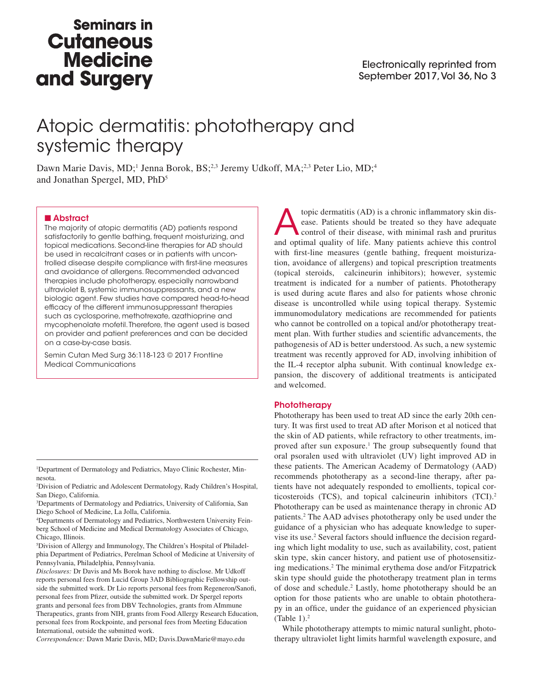## **Seminars in Cutaneous Medicine** and Surgery

# Atopic dermatitis: phototherapy and systemic therapy

Dawn Marie Davis, MD;<sup>1</sup> Jenna Borok, BS;<sup>2,3</sup> Jeremy Udkoff, MA;<sup>2,3</sup> Peter Lio, MD;<sup>4</sup> and Jonathan Spergel, MD, PhD5

## ■ Abstract

The majority of atopic dermatitis (AD) patients respond satisfactorily to gentle bathing, frequent moisturizing, and topical medications. Second-line therapies for AD should be used in recalcitrant cases or in patients with uncontrolled disease despite compliance with first-line measures and avoidance of allergens. Recommended advanced therapies include phototherapy, especially narrowband ultraviolet B, systemic immunosuppressants, and a new biologic agent. Few studies have compared head-to-head efficacy of the different immunosuppressant therapies such as cyclosporine, methotrexate, azathioprine and mycophenolate mofetil. Therefore, the agent used is based on provider and patient preferences and can be decided on a case-by-case basis.

Semin Cutan Med Surg 36:118-123 © 2017 Frontline Medical Communications

2 Division of Pediatric and Adolescent Dermatology, Rady Children's Hospital, San Diego, California.

3 Departments of Dermatology and Pediatrics, University of California, San Diego School of Medicine, La Jolla, California.

4 Departments of Dermatology and Pediatrics, Northwestern University Feinberg School of Medicine and Medical Dermatology Associates of Chicago, Chicago, Illinois.

5 Division of Allergy and Immunology, The Children's Hospital of Philadelphia Department of Pediatrics, Perelman School of Medicine at University of Pennsylvania, Philadelphia, Pennsylvania.

*Disclosures:* Dr Davis and Ms Borok have nothing to disclose. Mr Udkoff reports personal fees from Lucid Group 3AD Bibliographic Fellowship outside the submitted work. Dr Lio reports personal fees from Regeneron/Sanofi, personal fees from Pfizer, outside the submitted work. Dr Spergel reports grants and personal fees from DBV Technologies, grants from AImmune Therapeutics, grants from NIH, grants from Food Allergy Research Education, personal fees from Rockpointe, and personal fees from Meeting Education International, outside the submitted work.

*Correspondence:* Dawn Marie Davis, MD; Davis.DawnMarie@mayo.edu

**Atopic dermatitis (AD) is a chronic inflammatory skin dis-**<br>ease. Patients should be treated so they have adequate<br>control of their disease, with minimal rash and pruritus<br>and optimal quality of life. Many patients achiev ease. Patients should be treated so they have adequate and optimal quality of life. Many patients achieve this control with first-line measures (gentle bathing, frequent moisturization, avoidance of allergens) and topical prescription treatments (topical steroids, calcineurin inhibitors); however, systemic treatment is indicated for a number of patients. Phototherapy is used during acute flares and also for patients whose chronic disease is uncontrolled while using topical therapy. Systemic immunomodulatory medications are recommended for patients who cannot be controlled on a topical and/or phototherapy treatment plan. With further studies and scientific advancements, the pathogenesis of AD is better understood. As such, a new systemic treatment was recently approved for AD, involving inhibition of the IL-4 receptor alpha subunit. With continual knowledge expansion, the discovery of additional treatments is anticipated and welcomed.

## **Phototherapy**

Phototherapy has been used to treat AD since the early 20th century. It was first used to treat AD after Morison et al noticed that the skin of AD patients, while refractory to other treatments, improved after sun exposure.<sup>1</sup> The group subsequently found that oral psoralen used with ultraviolet (UV) light improved AD in these patients. The American Academy of Dermatology (AAD) recommends phototherapy as a second-line therapy, after patients have not adequately responded to emollients, topical corticosteroids (TCS), and topical calcineurin inhibitors (TCI).<sup>2</sup> Phototherapy can be used as maintenance therapy in chronic AD patients.2 The AAD advises phototherapy only be used under the guidance of a physician who has adequate knowledge to supervise its use.<sup>2</sup> Several factors should influence the decision regarding which light modality to use, such as availability, cost, patient skin type, skin cancer history, and patient use of photosensitizing medications.2 The minimal erythema dose and/or Fitzpatrick skin type should guide the phototherapy treatment plan in terms of dose and schedule.<sup>2</sup> Lastly, home phototherapy should be an option for those patients who are unable to obtain phototherapy in an office, under the guidance of an experienced physician (Table  $1$ ).<sup>2</sup>

While phototherapy attempts to mimic natural sunlight, phototherapy ultraviolet light limits harmful wavelength exposure, and

<sup>&</sup>lt;sup>1</sup>Department of Dermatology and Pediatrics, Mayo Clinic Rochester, Minnesota.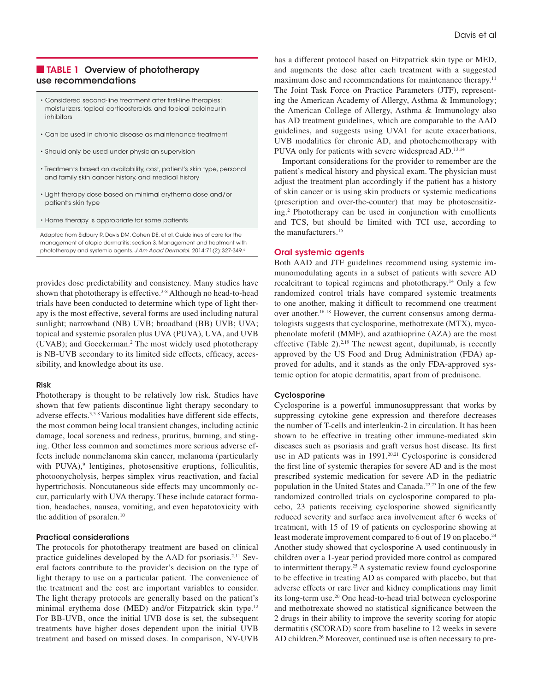## ■ TABLE 1 Overview of phototherapy use recommendations

- Considered second-line treatment after first-line therapies: moisturizers, topical corticosteroids, and topical calcineurin inhibitors
- Can be used in chronic disease as maintenance treatment
- Should only be used under physician supervision
- Treatments based on availability, cost, patient's skin type, personal and family skin cancer history, and medical history
- Light therapy dose based on minimal erythema dose and/or patient's skin type
- Home therapy is appropriate for some patients

Adapted from Sidbury R, Davis DM, Cohen DE, et al. Guidelines of care for the management of atopic dermatitis: section 3. Management and treatment with phototherapy and systemic agents. *J Am Acad Dermatol.* 2014;71(2):327-349.2

provides dose predictability and consistency. Many studies have shown that phototherapy is effective.<sup>3-8</sup> Although no head-to-head trials have been conducted to determine which type of light therapy is the most effective, several forms are used including natural sunlight; narrowband (NB) UVB; broadband (BB) UVB; UVA; topical and systemic psoralen plus UVA (PUVA), UVA, and UVB (UVAB); and Goeckerman.<sup>2</sup> The most widely used phototherapy is NB-UVB secondary to its limited side effects, efficacy, accessibility, and knowledge about its use.

## Risk

Phototherapy is thought to be relatively low risk. Studies have shown that few patients discontinue light therapy secondary to adverse effects.3,5-8 Various modalities have different side effects, the most common being local transient changes, including actinic damage, local soreness and redness, pruritus, burning, and stinging. Other less common and sometimes more serious adverse effects include nonmelanoma skin cancer, melanoma (particularly with PUVA),<sup>9</sup> lentigines, photosensitive eruptions, folliculitis, photoonycholysis, herpes simplex virus reactivation, and facial hypertrichosis. Noncutaneous side effects may uncommonly occur, particularly with UVA therapy. These include cataract formation, headaches, nausea, vomiting, and even hepatotoxicity with the addition of psoralen.10

## Practical considerations

The protocols for phototherapy treatment are based on clinical practice guidelines developed by the AAD for psoriasis.2,11 Several factors contribute to the provider's decision on the type of light therapy to use on a particular patient. The convenience of the treatment and the cost are important variables to consider. The light therapy protocols are generally based on the patient's minimal erythema dose (MED) and/or Fitzpatrick skin type.12 For BB-UVB, once the initial UVB dose is set, the subsequent treatments have higher doses dependent upon the initial UVB treatment and based on missed doses. In comparison, NV-UVB has a different protocol based on Fitzpatrick skin type or MED, and augments the dose after each treatment with a suggested maximum dose and recommendations for maintenance therapy.11 The Joint Task Force on Practice Parameters (JTF), representing the American Academy of Allergy, Asthma & Immunology; the American College of Allergy, Asthma & Immunology also has AD treatment guidelines, which are comparable to the AAD guidelines, and suggests using UVA1 for acute exacerbations, UVB modalities for chronic AD, and photochemotherapy with PUVA only for patients with severe widespread AD.<sup>13,14</sup>

Important considerations for the provider to remember are the patient's medical history and physical exam. The physician must adjust the treatment plan accordingly if the patient has a history of skin cancer or is using skin products or systemic medications (prescription and over-the-counter) that may be photosensitizing.2 Phototherapy can be used in conjunction with emollients and TCS, but should be limited with TCI use, according to the manufacturers.15

## Oral systemic agents

Both AAD and JTF guidelines recommend using systemic immunomodulating agents in a subset of patients with severe AD recalcitrant to topical regimens and phototherapy.14 Only a few randomized control trials have compared systemic treatments to one another, making it difficult to recommend one treatment over another.<sup>16-18</sup> However, the current consensus among dermatologists suggests that cyclosporine, methotrexate (MTX), mycophenolate mofetil (MMF), and azathioprine (AZA) are the most effective (Table 2). $2,19$  The newest agent, dupilumab, is recently approved by the US Food and Drug Administration (FDA) approved for adults, and it stands as the only FDA-approved systemic option for atopic dermatitis, apart from of prednisone.

## Cyclosporine

Cyclosporine is a powerful immunosuppressant that works by suppressing cytokine gene expression and therefore decreases the number of T-cells and interleukin-2 in circulation. It has been shown to be effective in treating other immune-mediated skin diseases such as psoriasis and graft versus host disease. Its first use in AD patients was in 1991.<sup>20,21</sup> Cyclosporine is considered the first line of systemic therapies for severe AD and is the most prescribed systemic medication for severe AD in the pediatric population in the United States and Canada.22,23 In one of the few randomized controlled trials on cyclosporine compared to placebo, 23 patients receiving cyclosporine showed significantly reduced severity and surface area involvement after 6 weeks of treatment, with 15 of 19 of patients on cyclosporine showing at least moderate improvement compared to 6 out of 19 on placebo.<sup>24</sup> Another study showed that cyclosporine A used continuously in children over a 1-year period provided more control as compared to intermittent therapy.25 A systematic review found cyclosporine to be effective in treating AD as compared with placebo, but that adverse effects or rare liver and kidney complications may limit its long-term use.20 One head-to-head trial between cyclosporine and methotrexate showed no statistical significance between the 2 drugs in their ability to improve the severity scoring for atopic dermatitis (SCORAD) score from baseline to 12 weeks in severe AD children.26 Moreover, continued use is often necessary to pre-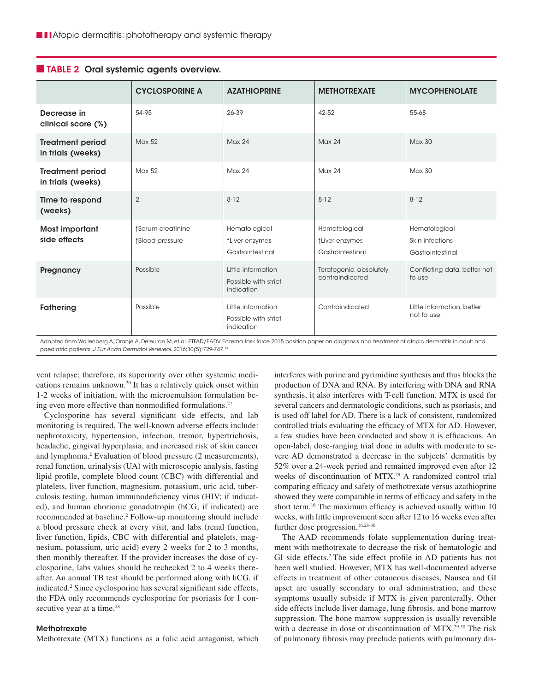|                                              | <b>CYCLOSPORINE A</b>                | <b>AZATHIOPRINE</b>                                      | <b>METHOTREXATE</b>                                 | <b>MYCOPHENOLATE</b>                                 |
|----------------------------------------------|--------------------------------------|----------------------------------------------------------|-----------------------------------------------------|------------------------------------------------------|
| Decrease in<br>clinical score (%)            | 54-95                                | 26-39                                                    | 42-52                                               | 55-68                                                |
| <b>Treatment period</b><br>in trials (weeks) | Max 52                               | <b>Max 24</b>                                            | <b>Max 24</b>                                       | <b>Max 30</b>                                        |
| <b>Treatment period</b><br>in trials (weeks) | Max 52                               | Max 24                                                   | Max 24                                              | Max30                                                |
| Time to respond<br>(weeks)                   | $\overline{2}$                       | $8 - 12$                                                 | $8 - 12$                                            | $8 - 12$                                             |
| Most important<br>side effects               | ↑Serum creatinine<br>↑Blood pressure | Hematological<br>↑Liver enzymes<br>Gastrointestinal      | Hematological<br>↑Liver enzymes<br>Gastrointestinal | Hematological<br>Skin infections<br>Gastrointestinal |
| Pregnancy                                    | Possible                             | Little information<br>Possible with strict<br>indication | Teratogenic, absolutely<br>contraindicated          | Conflicting data, better not<br>to use               |
| Fathering                                    | Possible                             | Little information<br>Possible with strict<br>indication | Contraindicated                                     | Little information, better<br>not to use             |

## ■ TABLE 2 Oral systemic agents overview.

Adapted from Wollenberg A, Oranje A, Deleuran M, et al. ETFAD/EADV Eczema task force 2015 position paper on diagnosis and treatment of atopic dermatitis in adult and paediatric patients. *J Eur Acad Dermatol Venereol*. 2016;30(5):729-747.19

vent relapse; therefore, its superiority over other systemic medications remains unknown.20 It has a relatively quick onset within 1-2 weeks of initiation, with the microemulsion formulation being even more effective than nonmodified formulations.<sup>27</sup>

Cyclosporine has several significant side effects, and lab monitoring is required. The well-known adverse effects include: nephrotoxicity, hypertension, infection, tremor, hypertrichosis, headache, gingival hyperplasia, and increased risk of skin cancer and lymphoma.2 Evaluation of blood pressure (2 measurements), renal function, urinalysis (UA) with microscopic analysis, fasting lipid profile, complete blood count (CBC) with differential and platelets, liver function, magnesium, potassium, uric acid, tuberculosis testing, human immunodeficiency virus (HIV; if indicated), and human chorionic gonadotropin (hCG; if indicated) are recommended at baseline.<sup>2</sup> Follow-up monitoring should include a blood pressure check at every visit, and labs (renal function, liver function, lipids, CBC with differential and platelets, magnesium, potassium, uric acid) every 2 weeks for 2 to 3 months, then monthly thereafter. If the provider increases the dose of cyclosporine, labs values should be rechecked 2 to 4 weeks thereafter. An annual TB test should be performed along with hCG, if indicated.<sup>2</sup> Since cyclosporine has several significant side effects, the FDA only recommends cyclosporine for psoriasis for 1 consecutive year at a time.<sup>28</sup>

## **Methotrexate**

Methotrexate (MTX) functions as a folic acid antagonist, which

interferes with purine and pyrimidine synthesis and thus blocks the production of DNA and RNA. By interfering with DNA and RNA synthesis, it also interferes with T-cell function. MTX is used for several cancers and dermatologic conditions, such as psoriasis, and is used off label for AD. There is a lack of consistent, randomized controlled trials evaluating the efficacy of MTX for AD. However, a few studies have been conducted and show it is efficacious. An open-label, dose-ranging trial done in adults with moderate to severe AD demonstrated a decrease in the subjects' dermatitis by 52% over a 24-week period and remained improved even after 12 weeks of discontinuation of MTX.29 A randomized control trial comparing efficacy and safety of methotrexate versus azathioprine showed they were comparable in terms of efficacy and safety in the short term.<sup>16</sup> The maximum efficacy is achieved usually within 10 weeks, with little improvement seen after 12 to 16 weeks even after further dose progression.<sup>16,28-30</sup>

The AAD recommends folate supplementation during treatment with methotrexate to decrease the risk of hematologic and GI side effects.2 The side effect profile in AD patients has not been well studied. However, MTX has well-documented adverse effects in treatment of other cutaneous diseases. Nausea and GI upset are usually secondary to oral administration, and these symptoms usually subside if MTX is given parenterally. Other side effects include liver damage, lung fibrosis, and bone marrow suppression. The bone marrow suppression is usually reversible with a decrease in dose or discontinuation of MTX.<sup>29,30</sup> The risk of pulmonary fibrosis may preclude patients with pulmonary dis-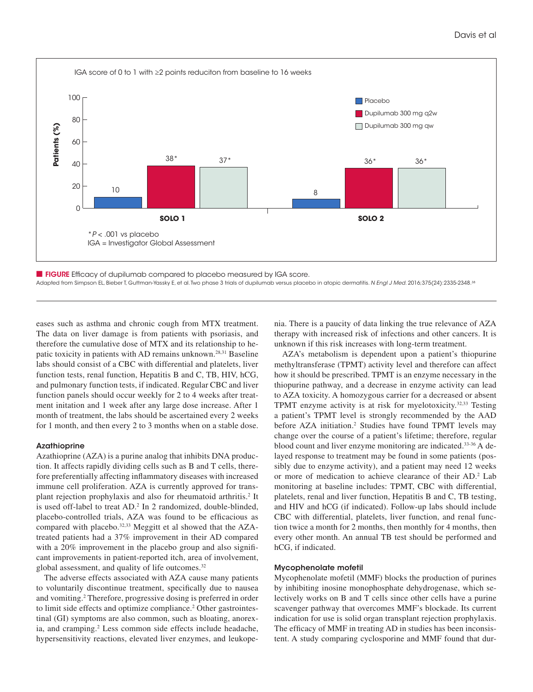



eases such as asthma and chronic cough from MTX treatment. The data on liver damage is from patients with psoriasis, and therefore the cumulative dose of MTX and its relationship to hepatic toxicity in patients with AD remains unknown.28,31 Baseline labs should consist of a CBC with differential and platelets, liver function tests, renal function, Hepatitis B and C, TB, HIV, hCG, and pulmonary function tests, if indicated. Regular CBC and liver function panels should occur weekly for 2 to 4 weeks after treatment initation and 1 week after any large dose increase. After 1 month of treatment, the labs should be ascertained every 2 weeks for 1 month, and then every 2 to 3 months when on a stable dose.

## Azathioprine

Azathioprine (AZA) is a purine analog that inhibits DNA production. It affects rapidly dividing cells such as B and T cells, therefore preferentially affecting inflammatory diseases with increased immune cell proliferation. AZA is currently approved for transplant rejection prophylaxis and also for rheumatoid arthritis.<sup>2</sup> It is used off-label to treat AD.2 In 2 randomized, double-blinded, placebo-controlled trials, AZA was found to be efficacious as compared with placebo.<sup>32,33</sup> Meggitt et al showed that the AZAtreated patients had a 37% improvement in their AD compared with a 20% improvement in the placebo group and also significant improvements in patient-reported itch, area of involvement, global assessment, and quality of life outcomes.<sup>32</sup>

The adverse effects associated with AZA cause many patients to voluntarily discontinue treatment, specifically due to nausea and vomiting.<sup>2</sup> Therefore, progressive dosing is preferred in order to limit side effects and optimize compliance.<sup>2</sup> Other gastrointestinal (GI) symptoms are also common, such as bloating, anorexia, and cramping.2 Less common side effects include headache, hypersensitivity reactions, elevated liver enzymes, and leukopenia. There is a paucity of data linking the true relevance of AZA therapy with increased risk of infections and other cancers. It is unknown if this risk increases with long-term treatment.

AZA's metabolism is dependent upon a patient's thiopurine methyltransferase (TPMT) activity level and therefore can affect how it should be prescribed. TPMT is an enzyme necessary in the thiopurine pathway, and a decrease in enzyme activity can lead to AZA toxicity. A homozygous carrier for a decreased or absent TPMT enzyme activity is at risk for myelotoxicity.32,33 Testing a patient's TPMT level is strongly recommended by the AAD before AZA initiation.<sup>2</sup> Studies have found TPMT levels may change over the course of a patient's lifetime; therefore, regular blood count and liver enzyme monitoring are indicated.33-36 A delayed response to treatment may be found in some patients (possibly due to enzyme activity), and a patient may need 12 weeks or more of medication to achieve clearance of their AD.2 Lab monitoring at baseline includes: TPMT, CBC with differential, platelets, renal and liver function, Hepatitis B and C, TB testing, and HIV and hCG (if indicated). Follow-up labs should include CBC with differential, platelets, liver function, and renal function twice a month for 2 months, then monthly for 4 months, then every other month. An annual TB test should be performed and hCG, if indicated.

#### Mycophenolate mofetil

Mycophenolate mofetil (MMF) blocks the production of purines by inhibiting inosine monophosphate dehydrogenase, which selectively works on B and T cells since other cells have a purine scavenger pathway that overcomes MMF's blockade. Its current indication for use is solid organ transplant rejection prophylaxis. The efficacy of MMF in treating AD in studies has been inconsistent. A study comparing cyclosporine and MMF found that dur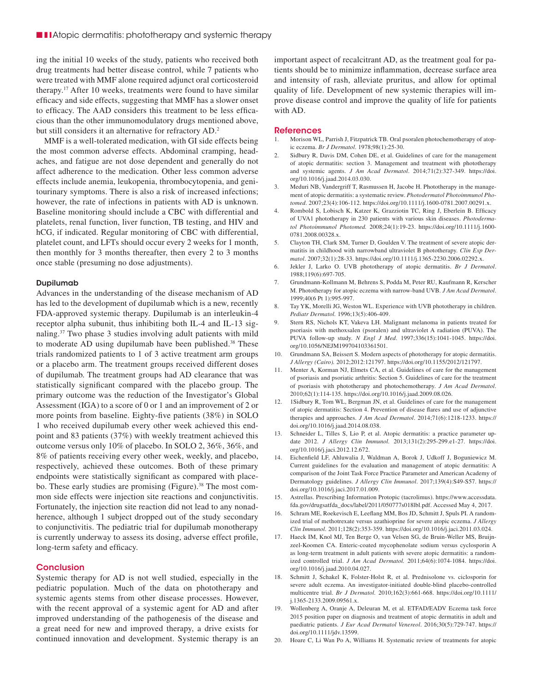ing the initial 10 weeks of the study, patients who received both drug treatments had better disease control, while 7 patients who were treated with MMF alone required adjunct oral corticosteroid therapy.17 After 10 weeks, treatments were found to have similar efficacy and side effects, suggesting that MMF has a slower onset to efficacy. The AAD considers this treatment to be less efficacious than the other immunomodulatory drugs mentioned above, but still considers it an alternative for refractory AD.2

MMF is a well-tolerated medication, with GI side effects being the most common adverse effects. Abdominal cramping, headaches, and fatigue are not dose dependent and generally do not affect adherence to the medication. Other less common adverse effects include anemia, leukopenia, thrombocytopenia, and genitourinary symptoms. There is also a risk of increased infections; however, the rate of infections in patients with AD is unknown. Baseline monitoring should include a CBC with differential and platelets, renal function, liver function, TB testing, and HIV and hCG, if indicated. Regular monitoring of CBC with differential, platelet count, and LFTs should occur every 2 weeks for 1 month, then monthly for 3 months thereafter, then every 2 to 3 months once stable (presuming no dose adjustments).

#### Dupilumab

Advances in the understanding of the disease mechanism of AD has led to the development of dupilumab which is a new, recently FDA-approved systemic therapy. Dupilumab is an interleukin-4 receptor alpha subunit, thus inhibiting both IL-4 and IL-13 signaling.37 Two phase 3 studies involving adult patients with mild to moderate AD using dupilumab have been published.<sup>38</sup> These trials randomized patients to 1 of 3 active treatment arm groups or a placebo arm. The treatment groups received different doses of dupilumab. The treatment groups had AD clearance that was statistically significant compared with the placebo group. The primary outcome was the reduction of the Investigator's Global Assessment (IGA) to a score of 0 or 1 and an improvement of 2 or more points from baseline. Eighty-five patients (38%) in SOLO 1 who received dupilumab every other week achieved this endpoint and 83 patients (37%) with weekly treatment achieved this outcome versus only 10% of placebo. In SOLO 2, 36%, 36%, and 8% of patients receiving every other week, weekly, and placebo, respectively, achieved these outcomes. Both of these primary endpoints were statistically significant as compared with placebo. These early studies are promising (Figure).<sup>38</sup> The most common side effects were injection site reactions and conjunctivitis. Fortunately, the injection site reaction did not lead to any nonadherence, although 1 subject dropped out of the study secondary to conjunctivitis. The pediatric trial for dupilumab monotherapy is currently underway to assess its dosing, adverse effect profile, long-term safety and efficacy.

## **Conclusion**

Systemic therapy for AD is not well studied, especially in the pediatric population. Much of the data on phototherapy and systemic agents stems from other disease processes. However, with the recent approval of a systemic agent for AD and after improved understanding of the pathogenesis of the disease and a great need for new and improved therapy, a drive exists for continued innovation and development. Systemic therapy is an

important aspect of recalcitrant AD, as the treatment goal for patients should be to minimize inflammation, decrease surface area and intensity of rash, alleviate pruritus, and allow for optimal quality of life. Development of new systemic therapies will improve disease control and improve the quality of life for patients with AD.

#### References

- 1. Morison WL, Parrish J, Fitzpatrick TB. Oral psoralen photochemotherapy of atopic eczema. *Br J Dermatol*. 1978;98(1):25-30.
- 2. Sidbury R, Davis DM, Cohen DE, et al. Guidelines of care for the management of atopic dermatitis: section 3. Management and treatment with phototherapy and systemic agents. *J Am Acad Dermatol*. 2014;71(2):327-349. https://doi. org/10.1016/j.jaad.2014.03.030.
- 3. Meduri NB, Vandergriff T, Rasmussen H, Jacobe H. Phototherapy in the management of atopic dermatitis: a systematic review. *Photodermatol Photoimmunol Photomed*. 2007;23(4):106-112. https://doi.org/10.1111/j.1600-0781.2007.00291.x.
- 4. Rombold S, Lobisch K, Katzer K, Grazziotin TC, Ring J, Eberlein B. Efficacy of UVA1 phototherapy in 230 patients with various skin diseases. *Photodermatol Photoimmunol Photomed.* 2008;24(1):19-23. https://doi.org/10.1111/j.1600- 0781.2008.00328.x.
- 5. Clayton TH, Clark SM, Turner D, Goulden V. The treatment of severe atopic dermatitis in childhood with narrowband ultraviolet B phototherapy. *Clin Exp Dermatol*. 2007;32(1):28-33. https://doi.org/10.1111/j.1365-2230.2006.02292.x.
- 6. Jekler J, Larko O. UVB phototherapy of atopic dermatitis. *Br J Dermatol*. 1988;119(6):697-705.
- 7. Grundmann-Kollmann M, Behrens S, Podda M, Peter RU, Kaufmann R, Kerscher M. Phototherapy for atopic eczema with narrow-band UVB. *J Am Acad Dermatol*. 1999;40(6 Pt 1):995-997.
- 8. Tay YK, Morelli JG, Weston WL. Experience with UVB phototherapy in children. *Pediatr Dermatol.* 1996;13(5):406-409.
- 9. Stern RS, Nichols KT, Vakeva LH. Malignant melanoma in patients treated for psoriasis with methoxsalen (psoralen) and ultraviolet A radiation (PUVA). The PUVA follow-up study. *N Engl J Med*. 1997;336(15):1041-1045. https://doi. org/10.1056/NEJM199704103361501.
- 10. Grundmann SA, Beissert S. Modern aspects of phototherapy for atopic dermatitis. *J Allergy (Cairo).* 2012;2012:121797. https://doi.org/10.1155/2012/121797.
- 11. Menter A, Korman NJ, Elmets CA, et al. Guidelines of care for the management of psoriasis and psoriatic arthritis: Section 5. Guidelines of care for the treatment of psoriasis with phototherapy and photochemotherapy. *J Am Acad Dermatol*. 2010;62(1):114-135. https://doi.org/10.1016/j.jaad.2009.08.026.
- 12. 1Sidbury R, Tom WL, Bergman JN, et al. Guidelines of care for the management of atopic dermatitis: Section 4. Prevention of disease flares and use of adjunctive therapies and approaches. *J Am Acad Dermatol*. 2014;71(6):1218-1233. https:// doi.org/10.1016/j.jaad.2014.08.038.
- 13. Schneider L, Tilles S, Lio P, et al. Atopic dermatitis: a practice parameter update 2012. *J Allergy Clin Immunol.* 2013;131(2):295-299.e1-27. https://doi. org/10.1016/j.jaci.2012.12.672.
- 14. Eichenfield LF, Ahluwalia J, Waldman A, Borok J, Udkoff J, Boguniewicz M. Current guidelines for the evaluation and management of atopic dermatitis: A comparison of the Joint Task Force Practice Parameter and American Academy of Dermatology guidelines. *J Allergy Clin Immunol*. 2017;139(4):S49-S57. https:// doi.org/10.1016/j.jaci.2017.01.009.
- 15. Astrellas. Prescribing Information Protopic (tacrolimus). https://www.accessdata. fda.gov/drugsatfda\_docs/label/2011/050777s018lbl.pdf. Accessed May 4, 2017.
- 16. Schram ME, Roekevisch E, Leeflang MM, Bos JD, Schmitt J, Spuls PI. A randomized trial of methotrexate versus azathioprine for severe atopic eczema. *J Allergy Clin Immunol.* 2011;128(2):353-359. https://doi.org/10.1016/j.jaci.2011.03.024.
- 17. Haeck IM, Knol MJ, Ten Berge O, van Velsen SG, de Bruin-Weller MS, Bruijnzeel-Koomen CA. Enteric-coated mycophenolate sodium versus cyclosporin A as long-term treatment in adult patients with severe atopic dermatitis: a randomized controlled trial. *J Am Acad Dermatol.* 2011;64(6):1074-1084. https://doi. org/10.1016/j.jaad.2010.04.027.
- 18. Schmitt J, Schakel K, Folster-Holst R, et al. Prednisolone vs. ciclosporin for severe adult eczema. An investigator-initiated double-blind placebo-controlled multicentre trial. *Br J Dermatol.* 2010;162(3):661-668. https://doi.org/10.1111/ j.1365-2133.2009.09561.x.
- 19. Wollenberg A, Oranje A, Deleuran M, et al. ETFAD/EADV Eczema task force 2015 position paper on diagnosis and treatment of atopic dermatitis in adult and paediatric patients. *J Eur Acad Dermatol Venereol*. 2016;30(5):729-747. https:// doi.org/10.1111/jdv.13599.
- 20. Hoare C, Li Wan Po A, Williams H. Systematic review of treatments for atopic